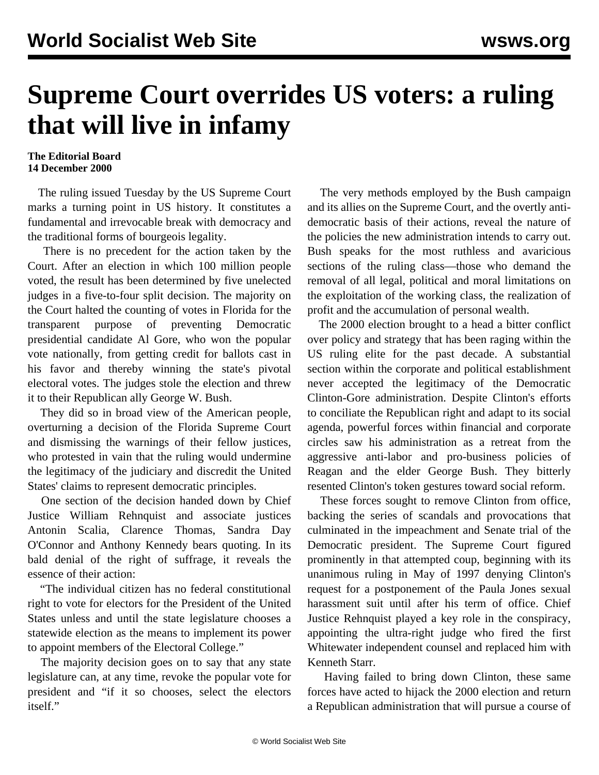## **Supreme Court overrides US voters: a ruling that will live in infamy**

## **The Editorial Board 14 December 2000**

 The ruling issued Tuesday by the US Supreme Court marks a turning point in US history. It constitutes a fundamental and irrevocable break with democracy and the traditional forms of bourgeois legality.

 There is no precedent for the action taken by the Court. After an election in which 100 million people voted, the result has been determined by five unelected judges in a five-to-four split decision. The majority on the Court halted the counting of votes in Florida for the transparent purpose of preventing Democratic presidential candidate Al Gore, who won the popular vote nationally, from getting credit for ballots cast in his favor and thereby winning the state's pivotal electoral votes. The judges stole the election and threw it to their Republican ally George W. Bush.

 They did so in broad view of the American people, overturning a decision of the Florida Supreme Court and dismissing the warnings of their fellow justices, who protested in vain that the ruling would undermine the legitimacy of the judiciary and discredit the United States' claims to represent democratic principles.

 One section of the decision handed down by Chief Justice William Rehnquist and associate justices Antonin Scalia, Clarence Thomas, Sandra Day O'Connor and Anthony Kennedy bears quoting. In its bald denial of the right of suffrage, it reveals the essence of their action:

 "The individual citizen has no federal constitutional right to vote for electors for the President of the United States unless and until the state legislature chooses a statewide election as the means to implement its power to appoint members of the Electoral College."

 The majority decision goes on to say that any state legislature can, at any time, revoke the popular vote for president and "if it so chooses, select the electors itself."

 The very methods employed by the Bush campaign and its allies on the Supreme Court, and the overtly antidemocratic basis of their actions, reveal the nature of the policies the new administration intends to carry out. Bush speaks for the most ruthless and avaricious sections of the ruling class—those who demand the removal of all legal, political and moral limitations on the exploitation of the working class, the realization of profit and the accumulation of personal wealth.

 The 2000 election brought to a head a bitter conflict over policy and strategy that has been raging within the US ruling elite for the past decade. A substantial section within the corporate and political establishment never accepted the legitimacy of the Democratic Clinton-Gore administration. Despite Clinton's efforts to conciliate the Republican right and adapt to its social agenda, powerful forces within financial and corporate circles saw his administration as a retreat from the aggressive anti-labor and pro-business policies of Reagan and the elder George Bush. They bitterly resented Clinton's token gestures toward social reform.

 These forces sought to remove Clinton from office, backing the series of scandals and provocations that culminated in the impeachment and Senate trial of the Democratic president. The Supreme Court figured prominently in that attempted coup, beginning with its unanimous ruling in May of 1997 denying Clinton's request for a postponement of the Paula Jones sexual harassment suit until after his term of office. Chief Justice Rehnquist played a key role in the conspiracy, appointing the ultra-right judge who fired the first Whitewater independent counsel and replaced him with Kenneth Starr.

 Having failed to bring down Clinton, these same forces have acted to hijack the 2000 election and return a Republican administration that will pursue a course of